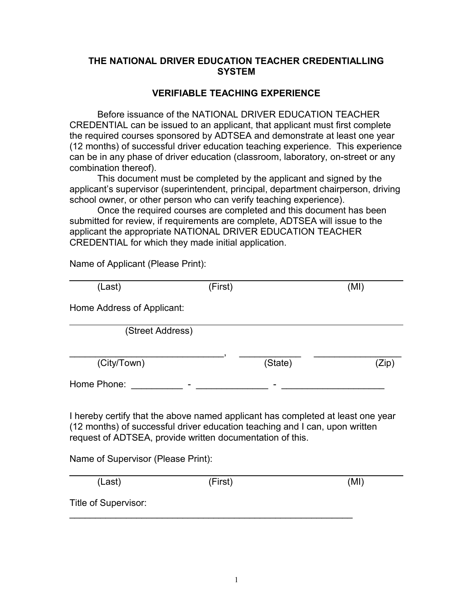## **THE NATIONAL DRIVER EDUCATION TEACHER CREDENTIALLING SYSTEM**

## **VERIFIABLE TEACHING EXPERIENCE**

Before issuance of the NATIONAL DRIVER EDUCATION TEACHER CREDENTIAL can be issued to an applicant, that applicant must first complete the required courses sponsored by ADTSEA and demonstrate at least one year (12 months) of successful driver education teaching experience. This experience can be in any phase of driver education (classroom, laboratory, on-street or any combination thereof).

This document must be completed by the applicant and signed by the applicant's supervisor (superintendent, principal, department chairperson, driving school owner, or other person who can verify teaching experience).

Once the required courses are completed and this document has been submitted for review, if requirements are complete, ADTSEA will issue to the applicant the appropriate NATIONAL DRIVER EDUCATION TEACHER CREDENTIAL for which they made initial application.

Name of Applicant (Please Print):

| (Last)                                                                                                                                                                                                                      | (First) |         | (MI)  |
|-----------------------------------------------------------------------------------------------------------------------------------------------------------------------------------------------------------------------------|---------|---------|-------|
| Home Address of Applicant:                                                                                                                                                                                                  |         |         |       |
| (Street Address)                                                                                                                                                                                                            |         |         |       |
| (City/Town)                                                                                                                                                                                                                 |         | (State) | (Zip) |
| Home Phone:                                                                                                                                                                                                                 |         |         |       |
| I hereby certify that the above named applicant has completed at least one year<br>(12 months) of successful driver education teaching and I can, upon written<br>request of ADTSEA, provide written documentation of this. |         |         |       |
| Name of Supervisor (Please Print):                                                                                                                                                                                          |         |         |       |
| (Last)                                                                                                                                                                                                                      | (First) |         | (MI)  |
| Title of Supervisor:                                                                                                                                                                                                        |         |         |       |

Title of Supervisor:

 $\mathcal{L}_\text{max} = \mathcal{L}_\text{max} = \mathcal{L}_\text{max} = \mathcal{L}_\text{max} = \mathcal{L}_\text{max} = \mathcal{L}_\text{max} = \mathcal{L}_\text{max} = \mathcal{L}_\text{max} = \mathcal{L}_\text{max} = \mathcal{L}_\text{max} = \mathcal{L}_\text{max} = \mathcal{L}_\text{max} = \mathcal{L}_\text{max} = \mathcal{L}_\text{max} = \mathcal{L}_\text{max} = \mathcal{L}_\text{max} = \mathcal{L}_\text{max} = \mathcal{L}_\text{max} = \mathcal{$